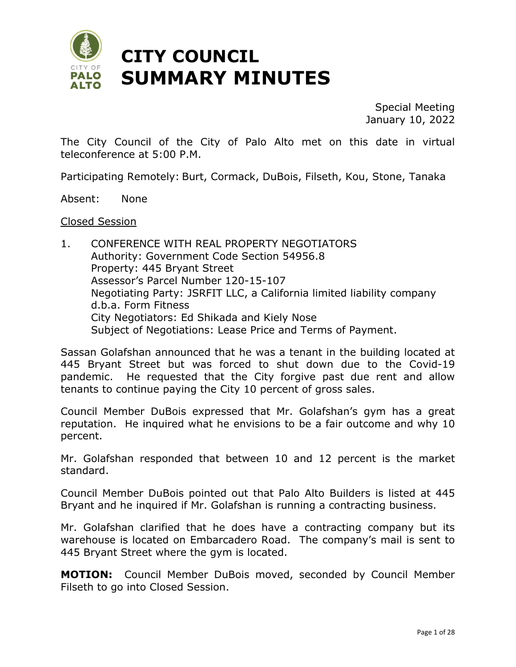

Special Meeting January 10, 2022

The City Council of the City of Palo Alto met on this date in virtual teleconference at 5:00 P.M.

Participating Remotely: Burt, Cormack, DuBois, Filseth, Kou, Stone, Tanaka

Absent: None

#### Closed Session

1. CONFERENCE WITH REAL PROPERTY NEGOTIATORS Authority: Government Code Section 54956.8 Property: 445 Bryant Street Assessor's Parcel Number 120-15-107 Negotiating Party: JSRFIT LLC, a California limited liability company d.b.a. Form Fitness City Negotiators: Ed Shikada and Kiely Nose Subject of Negotiations: Lease Price and Terms of Payment.

Sassan Golafshan announced that he was a tenant in the building located at 445 Bryant Street but was forced to shut down due to the Covid-19 pandemic. He requested that the City forgive past due rent and allow tenants to continue paying the City 10 percent of gross sales.

Council Member DuBois expressed that Mr. Golafshan's gym has a great reputation. He inquired what he envisions to be a fair outcome and why 10 percent.

Mr. Golafshan responded that between 10 and 12 percent is the market standard.

Council Member DuBois pointed out that Palo Alto Builders is listed at 445 Bryant and he inquired if Mr. Golafshan is running a contracting business.

Mr. Golafshan clarified that he does have a contracting company but its warehouse is located on Embarcadero Road. The company's mail is sent to 445 Bryant Street where the gym is located.

**MOTION:** Council Member DuBois moved, seconded by Council Member Filseth to go into Closed Session.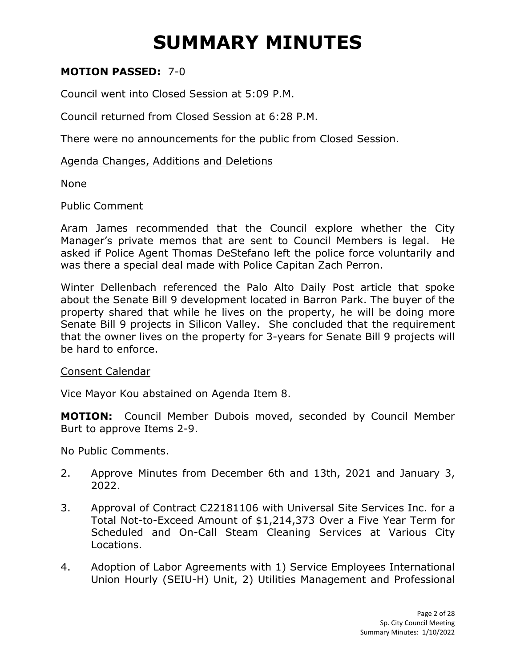#### **MOTION PASSED:** 7-0

Council went into Closed Session at 5:09 P.M.

Council returned from Closed Session at 6:28 P.M.

There were no announcements for the public from Closed Session.

#### Agenda Changes, Additions and Deletions

None

#### Public Comment

Aram James recommended that the Council explore whether the City Manager's private memos that are sent to Council Members is legal. He asked if Police Agent Thomas DeStefano left the police force voluntarily and was there a special deal made with Police Capitan Zach Perron.

Winter Dellenbach referenced the Palo Alto Daily Post article that spoke about the Senate Bill 9 development located in Barron Park. The buyer of the property shared that while he lives on the property, he will be doing more Senate Bill 9 projects in Silicon Valley. She concluded that the requirement that the owner lives on the property for 3-years for Senate Bill 9 projects will be hard to enforce.

#### Consent Calendar

Vice Mayor Kou abstained on Agenda Item 8.

**MOTION:** Council Member Dubois moved, seconded by Council Member Burt to approve Items 2-9.

No Public Comments.

- 2. Approve Minutes from December 6th and 13th, 2021 and January 3, 2022.
- 3. Approval of Contract C22181106 with Universal Site Services Inc. for a Total Not-to-Exceed Amount of \$1,214,373 Over a Five Year Term for Scheduled and On-Call Steam Cleaning Services at Various City Locations.
- 4. Adoption of Labor Agreements with 1) Service Employees International Union Hourly (SEIU-H) Unit, 2) Utilities Management and Professional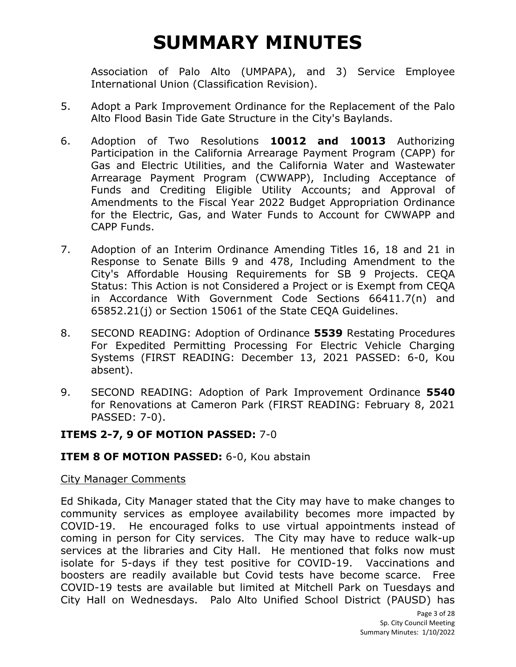Association of Palo Alto (UMPAPA), and 3) Service Employee International Union (Classification Revision).

- 5. Adopt a Park Improvement Ordinance for the Replacement of the Palo Alto Flood Basin Tide Gate Structure in the City's Baylands.
- 6. Adoption of Two Resolutions **10012 and 10013** Authorizing Participation in the California Arrearage Payment Program (CAPP) for Gas and Electric Utilities, and the California Water and Wastewater Arrearage Payment Program (CWWAPP), Including Acceptance of Funds and Crediting Eligible Utility Accounts; and Approval of Amendments to the Fiscal Year 2022 Budget Appropriation Ordinance for the Electric, Gas, and Water Funds to Account for CWWAPP and CAPP Funds.
- 7. Adoption of an Interim Ordinance Amending Titles 16, 18 and 21 in Response to Senate Bills 9 and 478, Including Amendment to the City's Affordable Housing Requirements for SB 9 Projects. CEQA Status: This Action is not Considered a Project or is Exempt from CEQA in Accordance With Government Code Sections 66411.7(n) and 65852.21(j) or Section 15061 of the State CEQA Guidelines.
- 8. SECOND READING: Adoption of Ordinance **5539** Restating Procedures For Expedited Permitting Processing For Electric Vehicle Charging Systems (FIRST READING: December 13, 2021 PASSED: 6-0, Kou absent).
- 9. SECOND READING: Adoption of Park Improvement Ordinance **5540**  for Renovations at Cameron Park (FIRST READING: February 8, 2021 PASSED: 7-0).

#### **ITEMS 2-7, 9 OF MOTION PASSED:** 7-0

#### **ITEM 8 OF MOTION PASSED:** 6-0, Kou abstain

#### City Manager Comments

Ed Shikada, City Manager stated that the City may have to make changes to community services as employee availability becomes more impacted by COVID-19. He encouraged folks to use virtual appointments instead of coming in person for City services. The City may have to reduce walk-up services at the libraries and City Hall. He mentioned that folks now must isolate for 5-days if they test positive for COVID-19. Vaccinations and boosters are readily available but Covid tests have become scarce. Free COVID-19 tests are available but limited at Mitchell Park on Tuesdays and City Hall on Wednesdays. Palo Alto Unified School District (PAUSD) has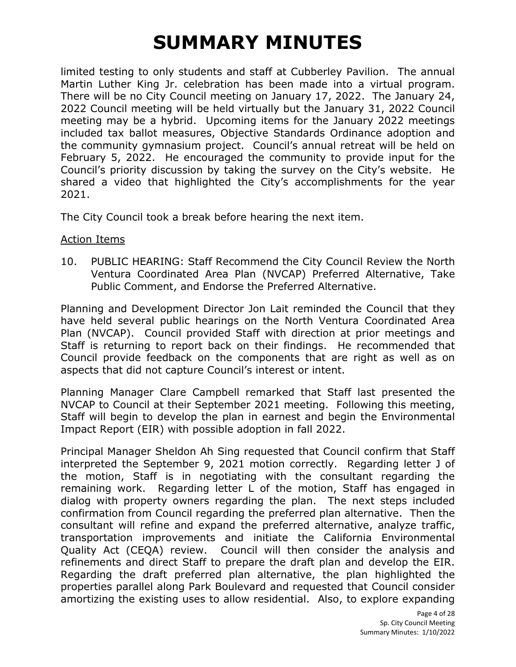limited testing to only students and staff at Cubberley Pavilion. The annual Martin Luther King Jr. celebration has been made into a virtual program. There will be no City Council meeting on January 17, 2022. The January 24, 2022 Council meeting will be held virtually but the January 31, 2022 Council meeting may be a hybrid. Upcoming items for the January 2022 meetings included tax ballot measures, Objective Standards Ordinance adoption and the community gymnasium project. Council's annual retreat will be held on February 5, 2022. He encouraged the community to provide input for the Council's priority discussion by taking the survey on the City's website. He shared a video that highlighted the City's accomplishments for the year 2021.

The City Council took a break before hearing the next item.

#### Action Items

10. PUBLIC HEARING: Staff Recommend the City Council Review the North Ventura Coordinated Area Plan (NVCAP) Preferred Alternative, Take Public Comment, and Endorse the Preferred Alternative.

Planning and Development Director Jon Lait reminded the Council that they have held several public hearings on the North Ventura Coordinated Area Plan (NVCAP). Council provided Staff with direction at prior meetings and Staff is returning to report back on their findings. He recommended that Council provide feedback on the components that are right as well as on aspects that did not capture Council's interest or intent.

Planning Manager Clare Campbell remarked that Staff last presented the NVCAP to Council at their September 2021 meeting. Following this meeting, Staff will begin to develop the plan in earnest and begin the Environmental Impact Report (EIR) with possible adoption in fall 2022.

Principal Manager Sheldon Ah Sing requested that Council confirm that Staff interpreted the September 9, 2021 motion correctly. Regarding letter J of the motion, Staff is in negotiating with the consultant regarding the remaining work. Regarding letter L of the motion, Staff has engaged in dialog with property owners regarding the plan. The next steps included confirmation from Council regarding the preferred plan alternative. Then the consultant will refine and expand the preferred alternative, analyze traffic, transportation improvements and initiate the California Environmental Quality Act (CEQA) review. Council will then consider the analysis and refinements and direct Staff to prepare the draft plan and develop the EIR. Regarding the draft preferred plan alternative, the plan highlighted the properties parallel along Park Boulevard and requested that Council consider amortizing the existing uses to allow residential. Also, to explore expanding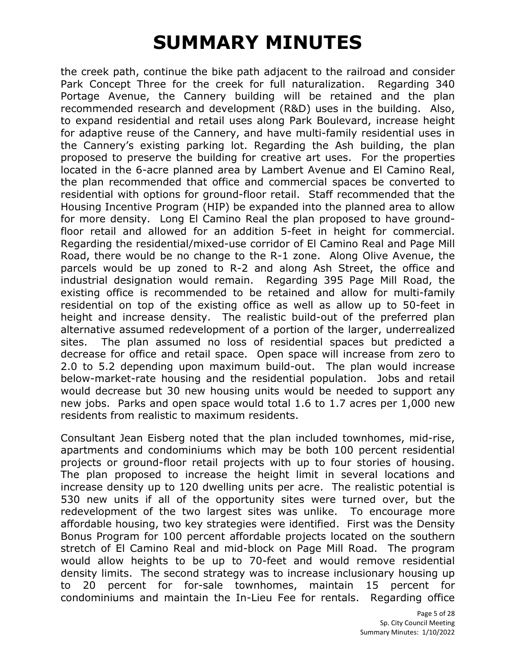the creek path, continue the bike path adjacent to the railroad and consider Park Concept Three for the creek for full naturalization. Regarding 340 Portage Avenue, the Cannery building will be retained and the plan recommended research and development (R&D) uses in the building. Also, to expand residential and retail uses along Park Boulevard, increase height for adaptive reuse of the Cannery, and have multi-family residential uses in the Cannery's existing parking lot. Regarding the Ash building, the plan proposed to preserve the building for creative art uses. For the properties located in the 6-acre planned area by Lambert Avenue and El Camino Real, the plan recommended that office and commercial spaces be converted to residential with options for ground-floor retail. Staff recommended that the Housing Incentive Program (HIP) be expanded into the planned area to allow for more density. Long El Camino Real the plan proposed to have groundfloor retail and allowed for an addition 5-feet in height for commercial. Regarding the residential/mixed-use corridor of El Camino Real and Page Mill Road, there would be no change to the R-1 zone. Along Olive Avenue, the parcels would be up zoned to R-2 and along Ash Street, the office and industrial designation would remain. Regarding 395 Page Mill Road, the existing office is recommended to be retained and allow for multi-family residential on top of the existing office as well as allow up to 50-feet in height and increase density. The realistic build-out of the preferred plan alternative assumed redevelopment of a portion of the larger, underrealized sites. The plan assumed no loss of residential spaces but predicted a decrease for office and retail space. Open space will increase from zero to 2.0 to 5.2 depending upon maximum build-out. The plan would increase below-market-rate housing and the residential population. Jobs and retail would decrease but 30 new housing units would be needed to support any new jobs. Parks and open space would total 1.6 to 1.7 acres per 1,000 new residents from realistic to maximum residents.

Consultant Jean Eisberg noted that the plan included townhomes, mid-rise, apartments and condominiums which may be both 100 percent residential projects or ground-floor retail projects with up to four stories of housing. The plan proposed to increase the height limit in several locations and increase density up to 120 dwelling units per acre. The realistic potential is 530 new units if all of the opportunity sites were turned over, but the redevelopment of the two largest sites was unlike. To encourage more affordable housing, two key strategies were identified. First was the Density Bonus Program for 100 percent affordable projects located on the southern stretch of El Camino Real and mid-block on Page Mill Road. The program would allow heights to be up to 70-feet and would remove residential density limits. The second strategy was to increase inclusionary housing up to 20 percent for for-sale townhomes, maintain 15 percent for condominiums and maintain the In-Lieu Fee for rentals. Regarding office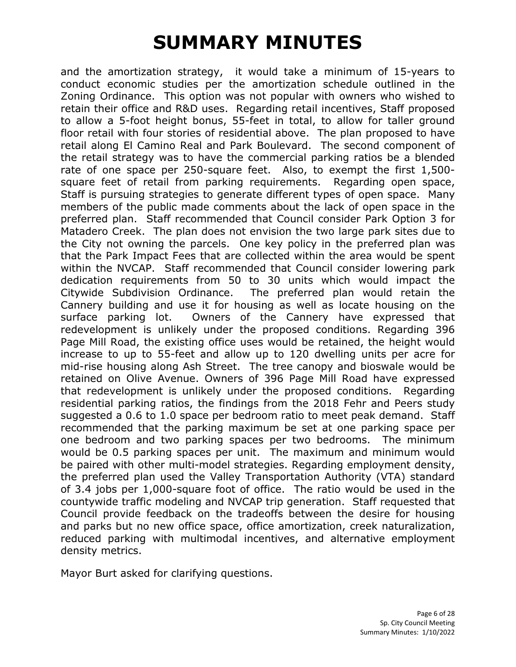and the amortization strategy, it would take a minimum of 15-years to conduct economic studies per the amortization schedule outlined in the Zoning Ordinance. This option was not popular with owners who wished to retain their office and R&D uses. Regarding retail incentives, Staff proposed to allow a 5-foot height bonus, 55-feet in total, to allow for taller ground floor retail with four stories of residential above. The plan proposed to have retail along El Camino Real and Park Boulevard. The second component of the retail strategy was to have the commercial parking ratios be a blended rate of one space per 250-square feet. Also, to exempt the first 1,500 square feet of retail from parking requirements. Regarding open space, Staff is pursuing strategies to generate different types of open space. Many members of the public made comments about the lack of open space in the preferred plan. Staff recommended that Council consider Park Option 3 for Matadero Creek. The plan does not envision the two large park sites due to the City not owning the parcels. One key policy in the preferred plan was that the Park Impact Fees that are collected within the area would be spent within the NVCAP. Staff recommended that Council consider lowering park dedication requirements from 50 to 30 units which would impact the Citywide Subdivision Ordinance. The preferred plan would retain the Cannery building and use it for housing as well as locate housing on the surface parking lot. Owners of the Cannery have expressed that redevelopment is unlikely under the proposed conditions. Regarding 396 Page Mill Road, the existing office uses would be retained, the height would increase to up to 55-feet and allow up to 120 dwelling units per acre for mid-rise housing along Ash Street. The tree canopy and bioswale would be retained on Olive Avenue. Owners of 396 Page Mill Road have expressed that redevelopment is unlikely under the proposed conditions. Regarding residential parking ratios, the findings from the 2018 Fehr and Peers study suggested a 0.6 to 1.0 space per bedroom ratio to meet peak demand. Staff recommended that the parking maximum be set at one parking space per one bedroom and two parking spaces per two bedrooms. The minimum would be 0.5 parking spaces per unit. The maximum and minimum would be paired with other multi-model strategies. Regarding employment density, the preferred plan used the Valley Transportation Authority (VTA) standard of 3.4 jobs per 1,000-square foot of office. The ratio would be used in the countywide traffic modeling and NVCAP trip generation. Staff requested that Council provide feedback on the tradeoffs between the desire for housing and parks but no new office space, office amortization, creek naturalization, reduced parking with multimodal incentives, and alternative employment density metrics.

Mayor Burt asked for clarifying questions.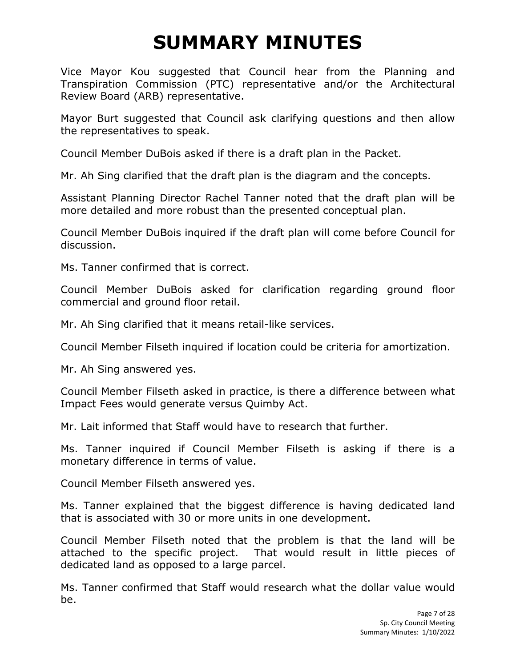Vice Mayor Kou suggested that Council hear from the Planning and Transpiration Commission (PTC) representative and/or the Architectural Review Board (ARB) representative.

Mayor Burt suggested that Council ask clarifying questions and then allow the representatives to speak.

Council Member DuBois asked if there is a draft plan in the Packet.

Mr. Ah Sing clarified that the draft plan is the diagram and the concepts.

Assistant Planning Director Rachel Tanner noted that the draft plan will be more detailed and more robust than the presented conceptual plan.

Council Member DuBois inquired if the draft plan will come before Council for discussion.

Ms. Tanner confirmed that is correct.

Council Member DuBois asked for clarification regarding ground floor commercial and ground floor retail.

Mr. Ah Sing clarified that it means retail-like services.

Council Member Filseth inquired if location could be criteria for amortization.

Mr. Ah Sing answered yes.

Council Member Filseth asked in practice, is there a difference between what Impact Fees would generate versus Quimby Act.

Mr. Lait informed that Staff would have to research that further.

Ms. Tanner inquired if Council Member Filseth is asking if there is a monetary difference in terms of value.

Council Member Filseth answered yes.

Ms. Tanner explained that the biggest difference is having dedicated land that is associated with 30 or more units in one development.

Council Member Filseth noted that the problem is that the land will be attached to the specific project. That would result in little pieces of dedicated land as opposed to a large parcel.

Ms. Tanner confirmed that Staff would research what the dollar value would be.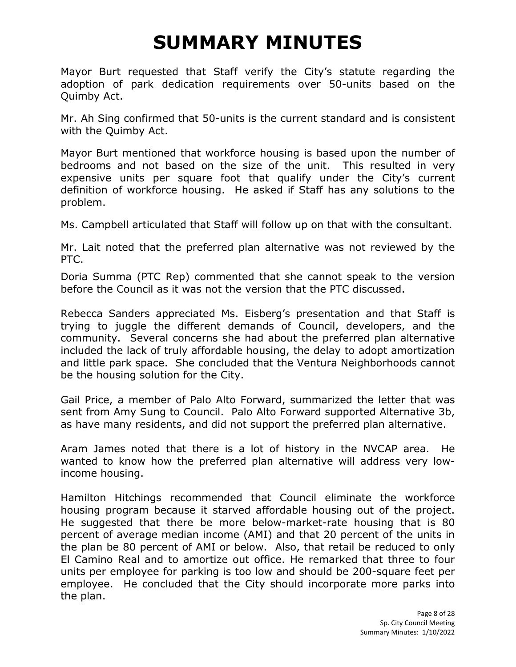Mayor Burt requested that Staff verify the City's statute regarding the adoption of park dedication requirements over 50-units based on the Quimby Act.

Mr. Ah Sing confirmed that 50-units is the current standard and is consistent with the Quimby Act.

Mayor Burt mentioned that workforce housing is based upon the number of bedrooms and not based on the size of the unit. This resulted in very expensive units per square foot that qualify under the City's current definition of workforce housing. He asked if Staff has any solutions to the problem.

Ms. Campbell articulated that Staff will follow up on that with the consultant.

Mr. Lait noted that the preferred plan alternative was not reviewed by the PTC.

Doria Summa (PTC Rep) commented that she cannot speak to the version before the Council as it was not the version that the PTC discussed.

Rebecca Sanders appreciated Ms. Eisberg's presentation and that Staff is trying to juggle the different demands of Council, developers, and the community. Several concerns she had about the preferred plan alternative included the lack of truly affordable housing, the delay to adopt amortization and little park space. She concluded that the Ventura Neighborhoods cannot be the housing solution for the City.

Gail Price, a member of Palo Alto Forward, summarized the letter that was sent from Amy Sung to Council. Palo Alto Forward supported Alternative 3b, as have many residents, and did not support the preferred plan alternative.

Aram James noted that there is a lot of history in the NVCAP area. He wanted to know how the preferred plan alternative will address very lowincome housing.

Hamilton Hitchings recommended that Council eliminate the workforce housing program because it starved affordable housing out of the project. He suggested that there be more below-market-rate housing that is 80 percent of average median income (AMI) and that 20 percent of the units in the plan be 80 percent of AMI or below. Also, that retail be reduced to only El Camino Real and to amortize out office. He remarked that three to four units per employee for parking is too low and should be 200-square feet per employee. He concluded that the City should incorporate more parks into the plan.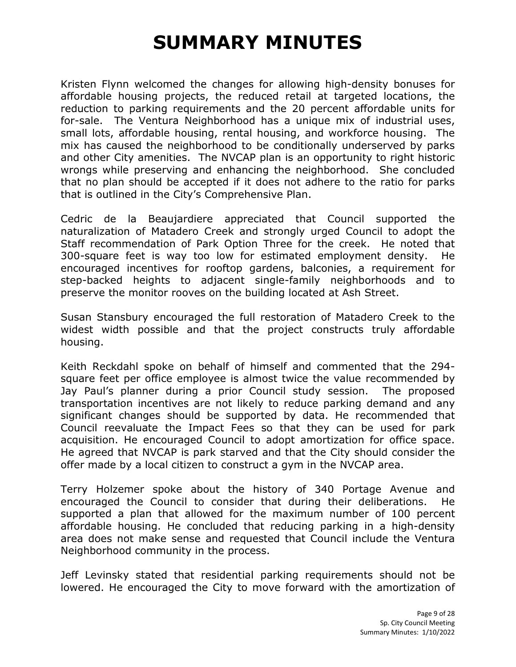Kristen Flynn welcomed the changes for allowing high-density bonuses for affordable housing projects, the reduced retail at targeted locations, the reduction to parking requirements and the 20 percent affordable units for for-sale. The Ventura Neighborhood has a unique mix of industrial uses, small lots, affordable housing, rental housing, and workforce housing. The mix has caused the neighborhood to be conditionally underserved by parks and other City amenities. The NVCAP plan is an opportunity to right historic wrongs while preserving and enhancing the neighborhood. She concluded that no plan should be accepted if it does not adhere to the ratio for parks that is outlined in the City's Comprehensive Plan.

Cedric de la Beaujardiere appreciated that Council supported the naturalization of Matadero Creek and strongly urged Council to adopt the Staff recommendation of Park Option Three for the creek. He noted that 300-square feet is way too low for estimated employment density. He encouraged incentives for rooftop gardens, balconies, a requirement for step-backed heights to adjacent single-family neighborhoods and to preserve the monitor rooves on the building located at Ash Street.

Susan Stansbury encouraged the full restoration of Matadero Creek to the widest width possible and that the project constructs truly affordable housing.

Keith Reckdahl spoke on behalf of himself and commented that the 294 square feet per office employee is almost twice the value recommended by Jay Paul's planner during a prior Council study session. The proposed transportation incentives are not likely to reduce parking demand and any significant changes should be supported by data. He recommended that Council reevaluate the Impact Fees so that they can be used for park acquisition. He encouraged Council to adopt amortization for office space. He agreed that NVCAP is park starved and that the City should consider the offer made by a local citizen to construct a gym in the NVCAP area.

Terry Holzemer spoke about the history of 340 Portage Avenue and encouraged the Council to consider that during their deliberations. He supported a plan that allowed for the maximum number of 100 percent affordable housing. He concluded that reducing parking in a high-density area does not make sense and requested that Council include the Ventura Neighborhood community in the process.

Jeff Levinsky stated that residential parking requirements should not be lowered. He encouraged the City to move forward with the amortization of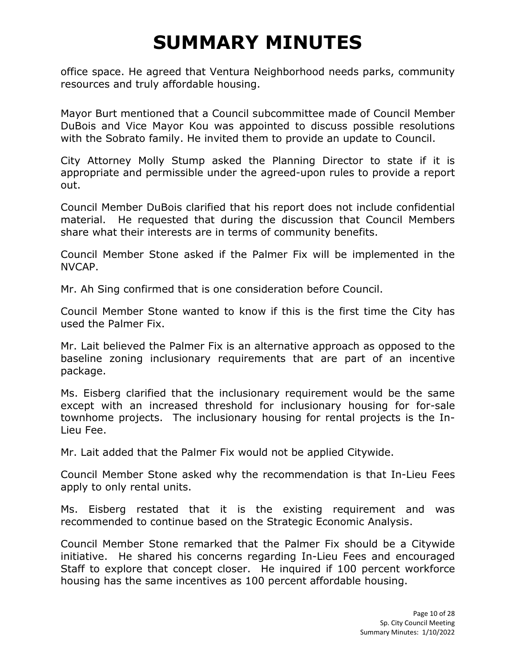office space. He agreed that Ventura Neighborhood needs parks, community resources and truly affordable housing.

Mayor Burt mentioned that a Council subcommittee made of Council Member DuBois and Vice Mayor Kou was appointed to discuss possible resolutions with the Sobrato family. He invited them to provide an update to Council.

City Attorney Molly Stump asked the Planning Director to state if it is appropriate and permissible under the agreed-upon rules to provide a report out.

Council Member DuBois clarified that his report does not include confidential material. He requested that during the discussion that Council Members share what their interests are in terms of community benefits.

Council Member Stone asked if the Palmer Fix will be implemented in the NVCAP.

Mr. Ah Sing confirmed that is one consideration before Council.

Council Member Stone wanted to know if this is the first time the City has used the Palmer Fix.

Mr. Lait believed the Palmer Fix is an alternative approach as opposed to the baseline zoning inclusionary requirements that are part of an incentive package.

Ms. Eisberg clarified that the inclusionary requirement would be the same except with an increased threshold for inclusionary housing for for-sale townhome projects. The inclusionary housing for rental projects is the In-Lieu Fee.

Mr. Lait added that the Palmer Fix would not be applied Citywide.

Council Member Stone asked why the recommendation is that In-Lieu Fees apply to only rental units.

Ms. Eisberg restated that it is the existing requirement and was recommended to continue based on the Strategic Economic Analysis.

Council Member Stone remarked that the Palmer Fix should be a Citywide initiative. He shared his concerns regarding In-Lieu Fees and encouraged Staff to explore that concept closer. He inquired if 100 percent workforce housing has the same incentives as 100 percent affordable housing.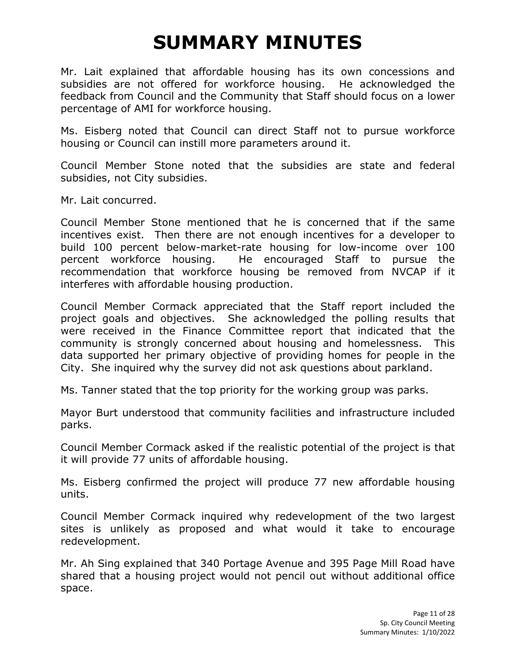Mr. Lait explained that affordable housing has its own concessions and subsidies are not offered for workforce housing. He acknowledged the feedback from Council and the Community that Staff should focus on a lower percentage of AMI for workforce housing.

Ms. Eisberg noted that Council can direct Staff not to pursue workforce housing or Council can instill more parameters around it.

Council Member Stone noted that the subsidies are state and federal subsidies, not City subsidies.

Mr. Lait concurred.

Council Member Stone mentioned that he is concerned that if the same incentives exist. Then there are not enough incentives for a developer to build 100 percent below-market-rate housing for low-income over 100 percent workforce housing. He encouraged Staff to pursue the recommendation that workforce housing be removed from NVCAP if it interferes with affordable housing production.

Council Member Cormack appreciated that the Staff report included the project goals and objectives. She acknowledged the polling results that were received in the Finance Committee report that indicated that the community is strongly concerned about housing and homelessness. This data supported her primary objective of providing homes for people in the City. She inquired why the survey did not ask questions about parkland.

Ms. Tanner stated that the top priority for the working group was parks.

Mayor Burt understood that community facilities and infrastructure included parks.

Council Member Cormack asked if the realistic potential of the project is that it will provide 77 units of affordable housing.

Ms. Eisberg confirmed the project will produce 77 new affordable housing units.

Council Member Cormack inquired why redevelopment of the two largest sites is unlikely as proposed and what would it take to encourage redevelopment.

Mr. Ah Sing explained that 340 Portage Avenue and 395 Page Mill Road have shared that a housing project would not pencil out without additional office space.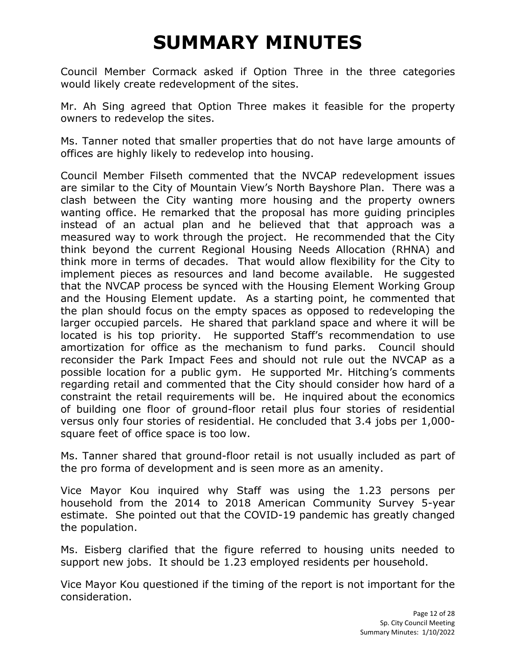Council Member Cormack asked if Option Three in the three categories would likely create redevelopment of the sites.

Mr. Ah Sing agreed that Option Three makes it feasible for the property owners to redevelop the sites.

Ms. Tanner noted that smaller properties that do not have large amounts of offices are highly likely to redevelop into housing.

Council Member Filseth commented that the NVCAP redevelopment issues are similar to the City of Mountain View's North Bayshore Plan. There was a clash between the City wanting more housing and the property owners wanting office. He remarked that the proposal has more guiding principles instead of an actual plan and he believed that that approach was a measured way to work through the project. He recommended that the City think beyond the current Regional Housing Needs Allocation (RHNA) and think more in terms of decades. That would allow flexibility for the City to implement pieces as resources and land become available. He suggested that the NVCAP process be synced with the Housing Element Working Group and the Housing Element update. As a starting point, he commented that the plan should focus on the empty spaces as opposed to redeveloping the larger occupied parcels. He shared that parkland space and where it will be located is his top priority. He supported Staff's recommendation to use amortization for office as the mechanism to fund parks. Council should reconsider the Park Impact Fees and should not rule out the NVCAP as a possible location for a public gym. He supported Mr. Hitching's comments regarding retail and commented that the City should consider how hard of a constraint the retail requirements will be. He inquired about the economics of building one floor of ground-floor retail plus four stories of residential versus only four stories of residential. He concluded that 3.4 jobs per 1,000 square feet of office space is too low.

Ms. Tanner shared that ground-floor retail is not usually included as part of the pro forma of development and is seen more as an amenity.

Vice Mayor Kou inquired why Staff was using the 1.23 persons per household from the 2014 to 2018 American Community Survey 5-year estimate. She pointed out that the COVID-19 pandemic has greatly changed the population.

Ms. Eisberg clarified that the figure referred to housing units needed to support new jobs. It should be 1.23 employed residents per household.

Vice Mayor Kou questioned if the timing of the report is not important for the consideration.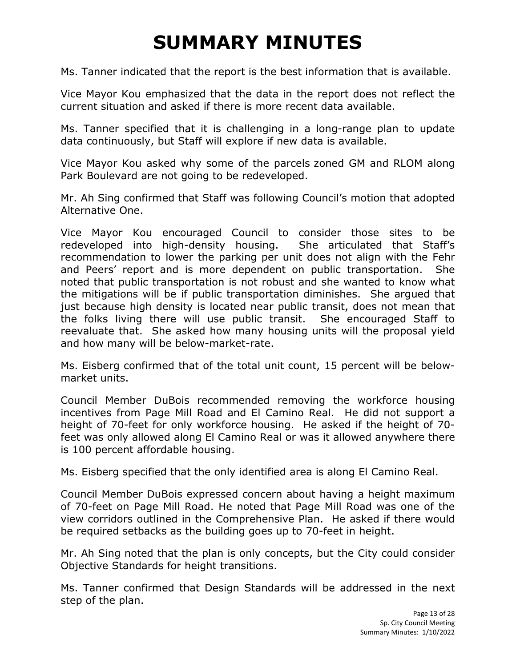Ms. Tanner indicated that the report is the best information that is available.

Vice Mayor Kou emphasized that the data in the report does not reflect the current situation and asked if there is more recent data available.

Ms. Tanner specified that it is challenging in a long-range plan to update data continuously, but Staff will explore if new data is available.

Vice Mayor Kou asked why some of the parcels zoned GM and RLOM along Park Boulevard are not going to be redeveloped.

Mr. Ah Sing confirmed that Staff was following Council's motion that adopted Alternative One.

Vice Mayor Kou encouraged Council to consider those sites to be redeveloped into high-density housing. She articulated that Staff's recommendation to lower the parking per unit does not align with the Fehr and Peers' report and is more dependent on public transportation. She noted that public transportation is not robust and she wanted to know what the mitigations will be if public transportation diminishes. She argued that just because high density is located near public transit, does not mean that the folks living there will use public transit. She encouraged Staff to reevaluate that. She asked how many housing units will the proposal yield and how many will be below-market-rate.

Ms. Eisberg confirmed that of the total unit count, 15 percent will be belowmarket units.

Council Member DuBois recommended removing the workforce housing incentives from Page Mill Road and El Camino Real. He did not support a height of 70-feet for only workforce housing. He asked if the height of 70 feet was only allowed along El Camino Real or was it allowed anywhere there is 100 percent affordable housing.

Ms. Eisberg specified that the only identified area is along El Camino Real.

Council Member DuBois expressed concern about having a height maximum of 70-feet on Page Mill Road. He noted that Page Mill Road was one of the view corridors outlined in the Comprehensive Plan. He asked if there would be required setbacks as the building goes up to 70-feet in height.

Mr. Ah Sing noted that the plan is only concepts, but the City could consider Objective Standards for height transitions.

Ms. Tanner confirmed that Design Standards will be addressed in the next step of the plan.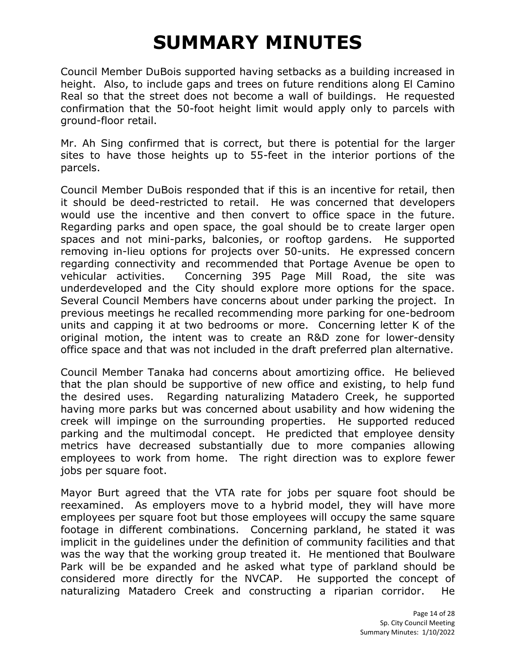Council Member DuBois supported having setbacks as a building increased in height. Also, to include gaps and trees on future renditions along El Camino Real so that the street does not become a wall of buildings. He requested confirmation that the 50-foot height limit would apply only to parcels with ground-floor retail.

Mr. Ah Sing confirmed that is correct, but there is potential for the larger sites to have those heights up to 55-feet in the interior portions of the parcels.

Council Member DuBois responded that if this is an incentive for retail, then it should be deed-restricted to retail. He was concerned that developers would use the incentive and then convert to office space in the future. Regarding parks and open space, the goal should be to create larger open spaces and not mini-parks, balconies, or rooftop gardens. He supported removing in-lieu options for projects over 50-units. He expressed concern regarding connectivity and recommended that Portage Avenue be open to vehicular activities. Concerning 395 Page Mill Road, the site was underdeveloped and the City should explore more options for the space. Several Council Members have concerns about under parking the project. In previous meetings he recalled recommending more parking for one-bedroom units and capping it at two bedrooms or more. Concerning letter K of the original motion, the intent was to create an R&D zone for lower-density office space and that was not included in the draft preferred plan alternative.

Council Member Tanaka had concerns about amortizing office. He believed that the plan should be supportive of new office and existing, to help fund the desired uses. Regarding naturalizing Matadero Creek, he supported having more parks but was concerned about usability and how widening the creek will impinge on the surrounding properties. He supported reduced parking and the multimodal concept. He predicted that employee density metrics have decreased substantially due to more companies allowing employees to work from home. The right direction was to explore fewer jobs per square foot.

Mayor Burt agreed that the VTA rate for jobs per square foot should be reexamined. As employers move to a hybrid model, they will have more employees per square foot but those employees will occupy the same square footage in different combinations. Concerning parkland, he stated it was implicit in the guidelines under the definition of community facilities and that was the way that the working group treated it. He mentioned that Boulware Park will be be expanded and he asked what type of parkland should be considered more directly for the NVCAP. He supported the concept of naturalizing Matadero Creek and constructing a riparian corridor. He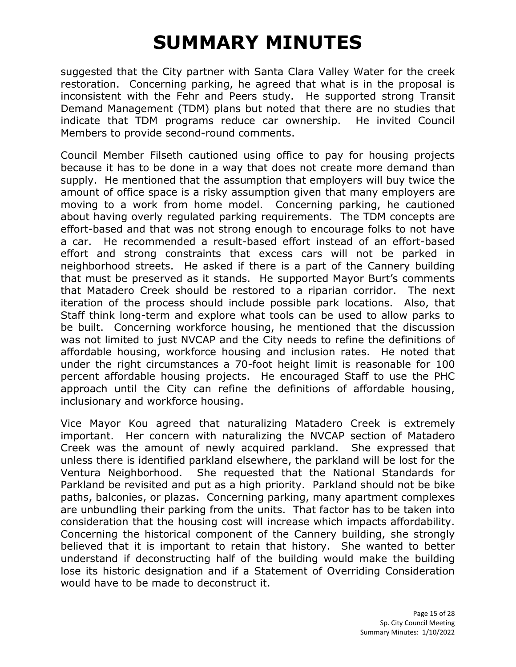suggested that the City partner with Santa Clara Valley Water for the creek restoration. Concerning parking, he agreed that what is in the proposal is inconsistent with the Fehr and Peers study. He supported strong Transit Demand Management (TDM) plans but noted that there are no studies that indicate that TDM programs reduce car ownership. He invited Council Members to provide second-round comments.

Council Member Filseth cautioned using office to pay for housing projects because it has to be done in a way that does not create more demand than supply. He mentioned that the assumption that employers will buy twice the amount of office space is a risky assumption given that many employers are moving to a work from home model. Concerning parking, he cautioned about having overly regulated parking requirements. The TDM concepts are effort-based and that was not strong enough to encourage folks to not have a car. He recommended a result-based effort instead of an effort-based effort and strong constraints that excess cars will not be parked in neighborhood streets. He asked if there is a part of the Cannery building that must be preserved as it stands. He supported Mayor Burt's comments that Matadero Creek should be restored to a riparian corridor. The next iteration of the process should include possible park locations. Also, that Staff think long-term and explore what tools can be used to allow parks to be built. Concerning workforce housing, he mentioned that the discussion was not limited to just NVCAP and the City needs to refine the definitions of affordable housing, workforce housing and inclusion rates. He noted that under the right circumstances a 70-foot height limit is reasonable for 100 percent affordable housing projects. He encouraged Staff to use the PHC approach until the City can refine the definitions of affordable housing, inclusionary and workforce housing.

Vice Mayor Kou agreed that naturalizing Matadero Creek is extremely important. Her concern with naturalizing the NVCAP section of Matadero Creek was the amount of newly acquired parkland. She expressed that unless there is identified parkland elsewhere, the parkland will be lost for the Ventura Neighborhood. She requested that the National Standards for Parkland be revisited and put as a high priority. Parkland should not be bike paths, balconies, or plazas. Concerning parking, many apartment complexes are unbundling their parking from the units. That factor has to be taken into consideration that the housing cost will increase which impacts affordability. Concerning the historical component of the Cannery building, she strongly believed that it is important to retain that history. She wanted to better understand if deconstructing half of the building would make the building lose its historic designation and if a Statement of Overriding Consideration would have to be made to deconstruct it.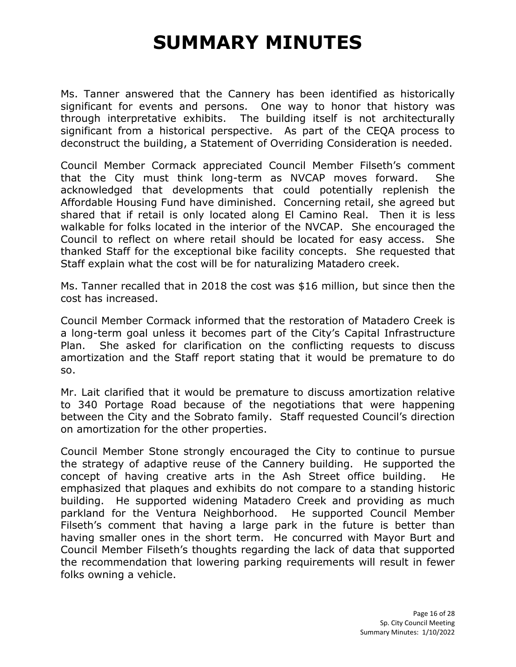Ms. Tanner answered that the Cannery has been identified as historically significant for events and persons. One way to honor that history was through interpretative exhibits. The building itself is not architecturally significant from a historical perspective. As part of the CEQA process to deconstruct the building, a Statement of Overriding Consideration is needed.

Council Member Cormack appreciated Council Member Filseth's comment that the City must think long-term as NVCAP moves forward. She acknowledged that developments that could potentially replenish the Affordable Housing Fund have diminished. Concerning retail, she agreed but shared that if retail is only located along El Camino Real. Then it is less walkable for folks located in the interior of the NVCAP. She encouraged the Council to reflect on where retail should be located for easy access. She thanked Staff for the exceptional bike facility concepts. She requested that Staff explain what the cost will be for naturalizing Matadero creek.

Ms. Tanner recalled that in 2018 the cost was \$16 million, but since then the cost has increased.

Council Member Cormack informed that the restoration of Matadero Creek is a long-term goal unless it becomes part of the City's Capital Infrastructure Plan. She asked for clarification on the conflicting requests to discuss amortization and the Staff report stating that it would be premature to do so.

Mr. Lait clarified that it would be premature to discuss amortization relative to 340 Portage Road because of the negotiations that were happening between the City and the Sobrato family. Staff requested Council's direction on amortization for the other properties.

Council Member Stone strongly encouraged the City to continue to pursue the strategy of adaptive reuse of the Cannery building. He supported the concept of having creative arts in the Ash Street office building. He emphasized that plaques and exhibits do not compare to a standing historic building. He supported widening Matadero Creek and providing as much parkland for the Ventura Neighborhood. He supported Council Member Filseth's comment that having a large park in the future is better than having smaller ones in the short term. He concurred with Mayor Burt and Council Member Filseth's thoughts regarding the lack of data that supported the recommendation that lowering parking requirements will result in fewer folks owning a vehicle.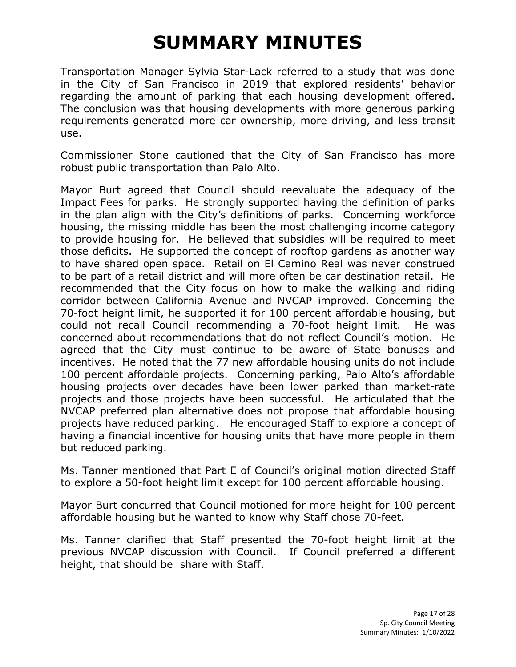Transportation Manager Sylvia Star-Lack referred to a study that was done in the City of San Francisco in 2019 that explored residents' behavior regarding the amount of parking that each housing development offered. The conclusion was that housing developments with more generous parking requirements generated more car ownership, more driving, and less transit use.

Commissioner Stone cautioned that the City of San Francisco has more robust public transportation than Palo Alto.

Mayor Burt agreed that Council should reevaluate the adequacy of the Impact Fees for parks. He strongly supported having the definition of parks in the plan align with the City's definitions of parks. Concerning workforce housing, the missing middle has been the most challenging income category to provide housing for. He believed that subsidies will be required to meet those deficits. He supported the concept of rooftop gardens as another way to have shared open space. Retail on El Camino Real was never construed to be part of a retail district and will more often be car destination retail. He recommended that the City focus on how to make the walking and riding corridor between California Avenue and NVCAP improved. Concerning the 70-foot height limit, he supported it for 100 percent affordable housing, but could not recall Council recommending a 70-foot height limit. He was concerned about recommendations that do not reflect Council's motion. He agreed that the City must continue to be aware of State bonuses and incentives. He noted that the 77 new affordable housing units do not include 100 percent affordable projects. Concerning parking, Palo Alto's affordable housing projects over decades have been lower parked than market-rate projects and those projects have been successful. He articulated that the NVCAP preferred plan alternative does not propose that affordable housing projects have reduced parking. He encouraged Staff to explore a concept of having a financial incentive for housing units that have more people in them but reduced parking.

Ms. Tanner mentioned that Part E of Council's original motion directed Staff to explore a 50-foot height limit except for 100 percent affordable housing.

Mayor Burt concurred that Council motioned for more height for 100 percent affordable housing but he wanted to know why Staff chose 70-feet.

Ms. Tanner clarified that Staff presented the 70-foot height limit at the previous NVCAP discussion with Council. If Council preferred a different height, that should be share with Staff.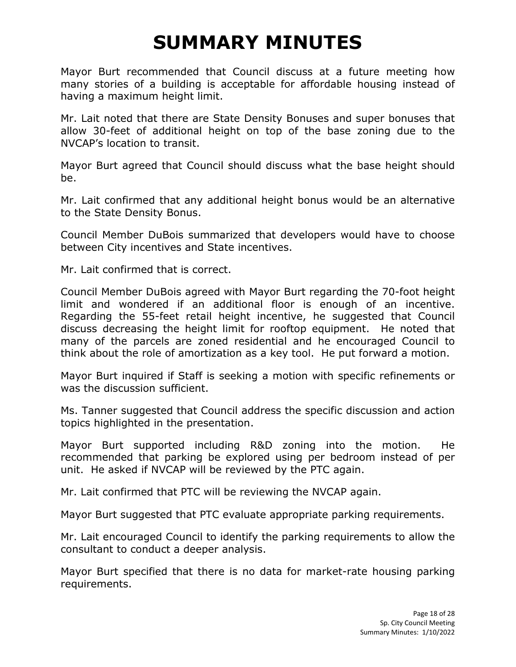Mayor Burt recommended that Council discuss at a future meeting how many stories of a building is acceptable for affordable housing instead of having a maximum height limit.

Mr. Lait noted that there are State Density Bonuses and super bonuses that allow 30-feet of additional height on top of the base zoning due to the NVCAP's location to transit.

Mayor Burt agreed that Council should discuss what the base height should be.

Mr. Lait confirmed that any additional height bonus would be an alternative to the State Density Bonus.

Council Member DuBois summarized that developers would have to choose between City incentives and State incentives.

Mr. Lait confirmed that is correct.

Council Member DuBois agreed with Mayor Burt regarding the 70-foot height limit and wondered if an additional floor is enough of an incentive. Regarding the 55-feet retail height incentive, he suggested that Council discuss decreasing the height limit for rooftop equipment. He noted that many of the parcels are zoned residential and he encouraged Council to think about the role of amortization as a key tool. He put forward a motion.

Mayor Burt inquired if Staff is seeking a motion with specific refinements or was the discussion sufficient.

Ms. Tanner suggested that Council address the specific discussion and action topics highlighted in the presentation.

Mayor Burt supported including R&D zoning into the motion. He recommended that parking be explored using per bedroom instead of per unit. He asked if NVCAP will be reviewed by the PTC again.

Mr. Lait confirmed that PTC will be reviewing the NVCAP again.

Mayor Burt suggested that PTC evaluate appropriate parking requirements.

Mr. Lait encouraged Council to identify the parking requirements to allow the consultant to conduct a deeper analysis.

Mayor Burt specified that there is no data for market-rate housing parking requirements.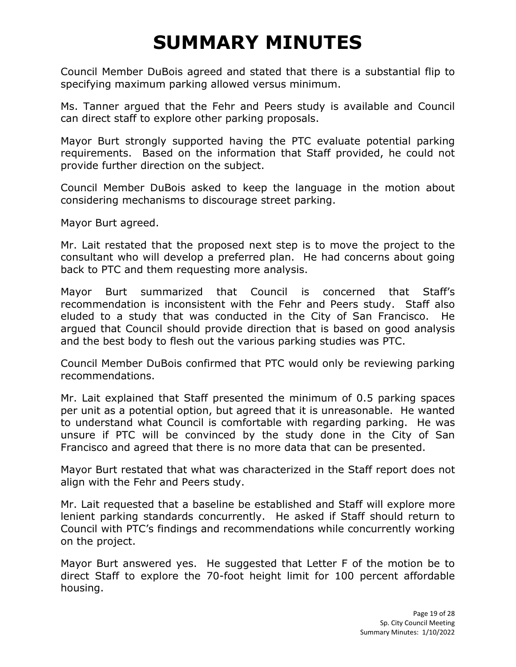Council Member DuBois agreed and stated that there is a substantial flip to specifying maximum parking allowed versus minimum.

Ms. Tanner argued that the Fehr and Peers study is available and Council can direct staff to explore other parking proposals.

Mayor Burt strongly supported having the PTC evaluate potential parking requirements. Based on the information that Staff provided, he could not provide further direction on the subject.

Council Member DuBois asked to keep the language in the motion about considering mechanisms to discourage street parking.

Mayor Burt agreed.

Mr. Lait restated that the proposed next step is to move the project to the consultant who will develop a preferred plan. He had concerns about going back to PTC and them requesting more analysis.

Mayor Burt summarized that Council is concerned that Staff's recommendation is inconsistent with the Fehr and Peers study. Staff also eluded to a study that was conducted in the City of San Francisco. He argued that Council should provide direction that is based on good analysis and the best body to flesh out the various parking studies was PTC.

Council Member DuBois confirmed that PTC would only be reviewing parking recommendations.

Mr. Lait explained that Staff presented the minimum of 0.5 parking spaces per unit as a potential option, but agreed that it is unreasonable. He wanted to understand what Council is comfortable with regarding parking. He was unsure if PTC will be convinced by the study done in the City of San Francisco and agreed that there is no more data that can be presented.

Mayor Burt restated that what was characterized in the Staff report does not align with the Fehr and Peers study.

Mr. Lait requested that a baseline be established and Staff will explore more lenient parking standards concurrently. He asked if Staff should return to Council with PTC's findings and recommendations while concurrently working on the project.

Mayor Burt answered yes. He suggested that Letter F of the motion be to direct Staff to explore the 70-foot height limit for 100 percent affordable housing.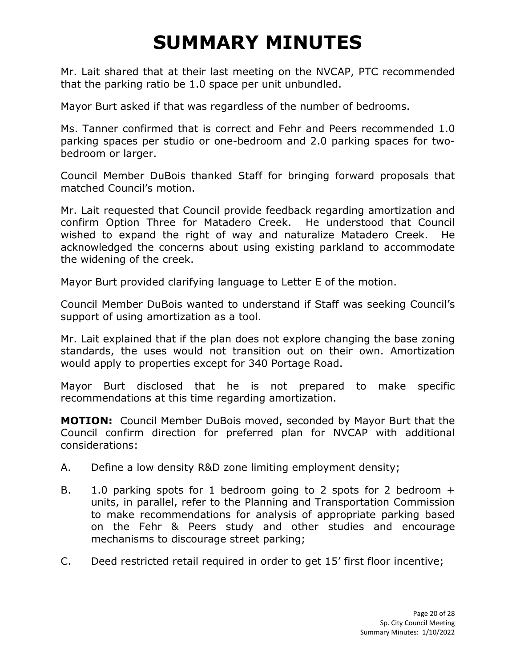Mr. Lait shared that at their last meeting on the NVCAP, PTC recommended that the parking ratio be 1.0 space per unit unbundled.

Mayor Burt asked if that was regardless of the number of bedrooms.

Ms. Tanner confirmed that is correct and Fehr and Peers recommended 1.0 parking spaces per studio or one-bedroom and 2.0 parking spaces for twobedroom or larger.

Council Member DuBois thanked Staff for bringing forward proposals that matched Council's motion.

Mr. Lait requested that Council provide feedback regarding amortization and confirm Option Three for Matadero Creek. He understood that Council wished to expand the right of way and naturalize Matadero Creek. He acknowledged the concerns about using existing parkland to accommodate the widening of the creek.

Mayor Burt provided clarifying language to Letter E of the motion.

Council Member DuBois wanted to understand if Staff was seeking Council's support of using amortization as a tool.

Mr. Lait explained that if the plan does not explore changing the base zoning standards, the uses would not transition out on their own. Amortization would apply to properties except for 340 Portage Road.

Mayor Burt disclosed that he is not prepared to make specific recommendations at this time regarding amortization.

**MOTION:** Council Member DuBois moved, seconded by Mayor Burt that the Council confirm direction for preferred plan for NVCAP with additional considerations:

- A. Define a low density R&D zone limiting employment density;
- B. 1.0 parking spots for 1 bedroom going to 2 spots for 2 bedroom + units, in parallel, refer to the Planning and Transportation Commission to make recommendations for analysis of appropriate parking based on the Fehr & Peers study and other studies and encourage mechanisms to discourage street parking;
- C. Deed restricted retail required in order to get 15' first floor incentive;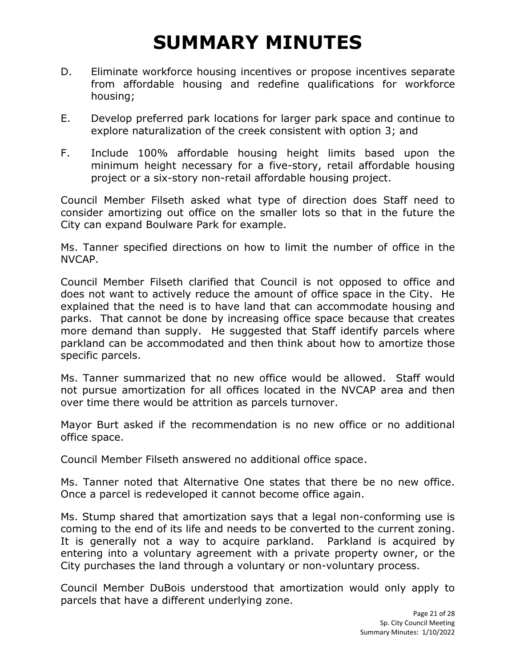- D. Eliminate workforce housing incentives or propose incentives separate from affordable housing and redefine qualifications for workforce housing;
- E. Develop preferred park locations for larger park space and continue to explore naturalization of the creek consistent with option 3; and
- F. Include 100% affordable housing height limits based upon the minimum height necessary for a five-story, retail affordable housing project or a six-story non-retail affordable housing project.

Council Member Filseth asked what type of direction does Staff need to consider amortizing out office on the smaller lots so that in the future the City can expand Boulware Park for example.

Ms. Tanner specified directions on how to limit the number of office in the NVCAP.

Council Member Filseth clarified that Council is not opposed to office and does not want to actively reduce the amount of office space in the City. He explained that the need is to have land that can accommodate housing and parks. That cannot be done by increasing office space because that creates more demand than supply. He suggested that Staff identify parcels where parkland can be accommodated and then think about how to amortize those specific parcels.

Ms. Tanner summarized that no new office would be allowed. Staff would not pursue amortization for all offices located in the NVCAP area and then over time there would be attrition as parcels turnover.

Mayor Burt asked if the recommendation is no new office or no additional office space.

Council Member Filseth answered no additional office space.

Ms. Tanner noted that Alternative One states that there be no new office. Once a parcel is redeveloped it cannot become office again.

Ms. Stump shared that amortization says that a legal non-conforming use is coming to the end of its life and needs to be converted to the current zoning. It is generally not a way to acquire parkland. Parkland is acquired by entering into a voluntary agreement with a private property owner, or the City purchases the land through a voluntary or non-voluntary process.

Council Member DuBois understood that amortization would only apply to parcels that have a different underlying zone.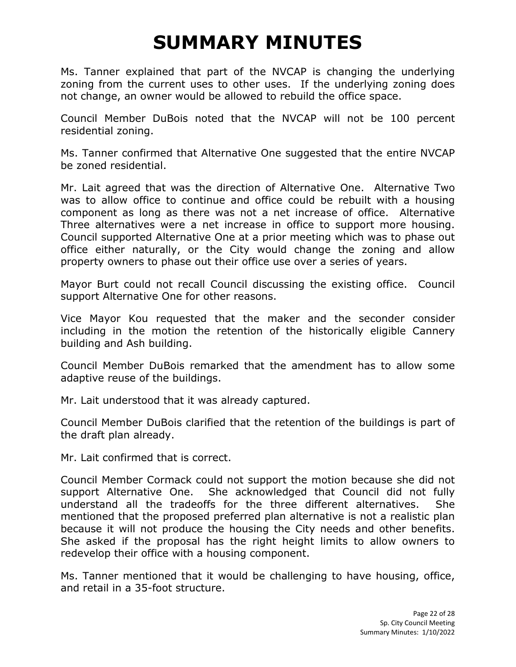Ms. Tanner explained that part of the NVCAP is changing the underlying zoning from the current uses to other uses. If the underlying zoning does not change, an owner would be allowed to rebuild the office space.

Council Member DuBois noted that the NVCAP will not be 100 percent residential zoning.

Ms. Tanner confirmed that Alternative One suggested that the entire NVCAP be zoned residential.

Mr. Lait agreed that was the direction of Alternative One. Alternative Two was to allow office to continue and office could be rebuilt with a housing component as long as there was not a net increase of office. Alternative Three alternatives were a net increase in office to support more housing. Council supported Alternative One at a prior meeting which was to phase out office either naturally, or the City would change the zoning and allow property owners to phase out their office use over a series of years.

Mayor Burt could not recall Council discussing the existing office. Council support Alternative One for other reasons.

Vice Mayor Kou requested that the maker and the seconder consider including in the motion the retention of the historically eligible Cannery building and Ash building.

Council Member DuBois remarked that the amendment has to allow some adaptive reuse of the buildings.

Mr. Lait understood that it was already captured.

Council Member DuBois clarified that the retention of the buildings is part of the draft plan already.

Mr. Lait confirmed that is correct.

Council Member Cormack could not support the motion because she did not support Alternative One. She acknowledged that Council did not fully understand all the tradeoffs for the three different alternatives. She mentioned that the proposed preferred plan alternative is not a realistic plan because it will not produce the housing the City needs and other benefits. She asked if the proposal has the right height limits to allow owners to redevelop their office with a housing component.

Ms. Tanner mentioned that it would be challenging to have housing, office, and retail in a 35-foot structure.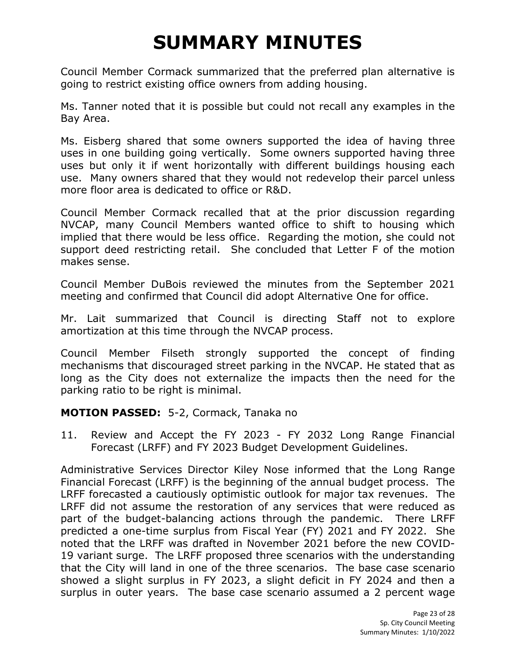Council Member Cormack summarized that the preferred plan alternative is going to restrict existing office owners from adding housing.

Ms. Tanner noted that it is possible but could not recall any examples in the Bay Area.

Ms. Eisberg shared that some owners supported the idea of having three uses in one building going vertically. Some owners supported having three uses but only it if went horizontally with different buildings housing each use. Many owners shared that they would not redevelop their parcel unless more floor area is dedicated to office or R&D.

Council Member Cormack recalled that at the prior discussion regarding NVCAP, many Council Members wanted office to shift to housing which implied that there would be less office. Regarding the motion, she could not support deed restricting retail. She concluded that Letter F of the motion makes sense.

Council Member DuBois reviewed the minutes from the September 2021 meeting and confirmed that Council did adopt Alternative One for office.

Mr. Lait summarized that Council is directing Staff not to explore amortization at this time through the NVCAP process.

Council Member Filseth strongly supported the concept of finding mechanisms that discouraged street parking in the NVCAP. He stated that as long as the City does not externalize the impacts then the need for the parking ratio to be right is minimal.

#### **MOTION PASSED:** 5-2, Cormack, Tanaka no

11. Review and Accept the FY 2023 - FY 2032 Long Range Financial Forecast (LRFF) and FY 2023 Budget Development Guidelines.

Administrative Services Director Kiley Nose informed that the Long Range Financial Forecast (LRFF) is the beginning of the annual budget process. The LRFF forecasted a cautiously optimistic outlook for major tax revenues. The LRFF did not assume the restoration of any services that were reduced as part of the budget-balancing actions through the pandemic. There LRFF predicted a one-time surplus from Fiscal Year (FY) 2021 and FY 2022. She noted that the LRFF was drafted in November 2021 before the new COVID-19 variant surge. The LRFF proposed three scenarios with the understanding that the City will land in one of the three scenarios. The base case scenario showed a slight surplus in FY 2023, a slight deficit in FY 2024 and then a surplus in outer years. The base case scenario assumed a 2 percent wage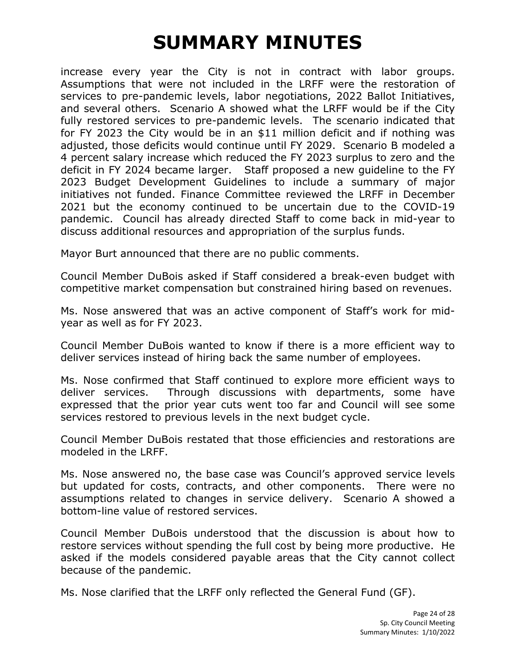increase every year the City is not in contract with labor groups. Assumptions that were not included in the LRFF were the restoration of services to pre-pandemic levels, labor negotiations, 2022 Ballot Initiatives, and several others. Scenario A showed what the LRFF would be if the City fully restored services to pre-pandemic levels. The scenario indicated that for FY 2023 the City would be in an \$11 million deficit and if nothing was adjusted, those deficits would continue until FY 2029. Scenario B modeled a 4 percent salary increase which reduced the FY 2023 surplus to zero and the deficit in FY 2024 became larger. Staff proposed a new guideline to the FY 2023 Budget Development Guidelines to include a summary of major initiatives not funded. Finance Committee reviewed the LRFF in December 2021 but the economy continued to be uncertain due to the COVID-19 pandemic. Council has already directed Staff to come back in mid-year to discuss additional resources and appropriation of the surplus funds.

Mayor Burt announced that there are no public comments.

Council Member DuBois asked if Staff considered a break-even budget with competitive market compensation but constrained hiring based on revenues.

Ms. Nose answered that was an active component of Staff's work for midyear as well as for FY 2023.

Council Member DuBois wanted to know if there is a more efficient way to deliver services instead of hiring back the same number of employees.

Ms. Nose confirmed that Staff continued to explore more efficient ways to deliver services. Through discussions with departments, some have expressed that the prior year cuts went too far and Council will see some services restored to previous levels in the next budget cycle.

Council Member DuBois restated that those efficiencies and restorations are modeled in the LRFF.

Ms. Nose answered no, the base case was Council's approved service levels but updated for costs, contracts, and other components. There were no assumptions related to changes in service delivery. Scenario A showed a bottom-line value of restored services.

Council Member DuBois understood that the discussion is about how to restore services without spending the full cost by being more productive. He asked if the models considered payable areas that the City cannot collect because of the pandemic.

Ms. Nose clarified that the LRFF only reflected the General Fund (GF).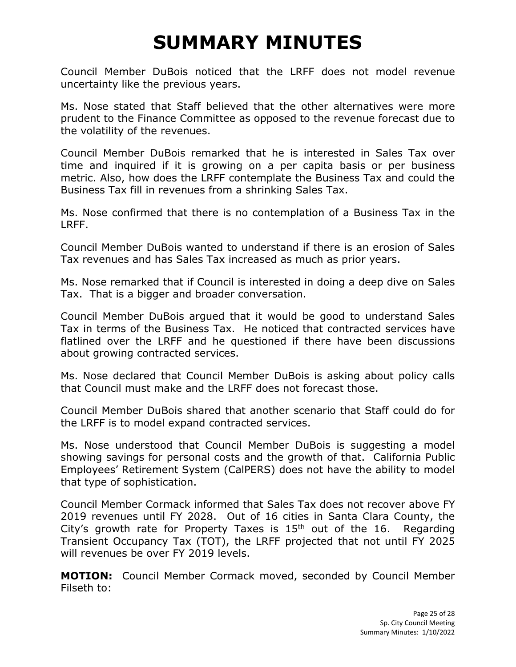Council Member DuBois noticed that the LRFF does not model revenue uncertainty like the previous years.

Ms. Nose stated that Staff believed that the other alternatives were more prudent to the Finance Committee as opposed to the revenue forecast due to the volatility of the revenues.

Council Member DuBois remarked that he is interested in Sales Tax over time and inquired if it is growing on a per capita basis or per business metric. Also, how does the LRFF contemplate the Business Tax and could the Business Tax fill in revenues from a shrinking Sales Tax.

Ms. Nose confirmed that there is no contemplation of a Business Tax in the LRFF.

Council Member DuBois wanted to understand if there is an erosion of Sales Tax revenues and has Sales Tax increased as much as prior years.

Ms. Nose remarked that if Council is interested in doing a deep dive on Sales Tax. That is a bigger and broader conversation.

Council Member DuBois argued that it would be good to understand Sales Tax in terms of the Business Tax. He noticed that contracted services have flatlined over the LRFF and he questioned if there have been discussions about growing contracted services.

Ms. Nose declared that Council Member DuBois is asking about policy calls that Council must make and the LRFF does not forecast those.

Council Member DuBois shared that another scenario that Staff could do for the LRFF is to model expand contracted services.

Ms. Nose understood that Council Member DuBois is suggesting a model showing savings for personal costs and the growth of that. California Public Employees' Retirement System (CalPERS) does not have the ability to model that type of sophistication.

Council Member Cormack informed that Sales Tax does not recover above FY 2019 revenues until FY 2028. Out of 16 cities in Santa Clara County, the City's growth rate for Property Taxes is  $15<sup>th</sup>$  out of the 16. Regarding Transient Occupancy Tax (TOT), the LRFF projected that not until FY 2025 will revenues be over FY 2019 levels.

**MOTION:** Council Member Cormack moved, seconded by Council Member Filseth to: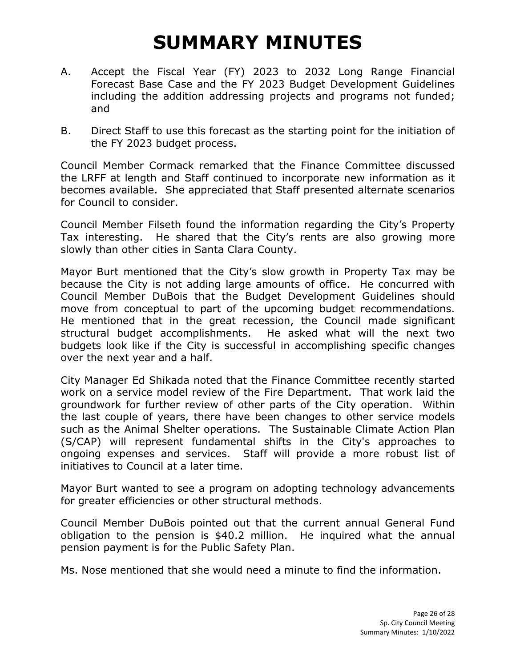- A. Accept the Fiscal Year (FY) 2023 to 2032 Long Range Financial Forecast Base Case and the FY 2023 Budget Development Guidelines including the addition addressing projects and programs not funded; and
- B. Direct Staff to use this forecast as the starting point for the initiation of the FY 2023 budget process.

Council Member Cormack remarked that the Finance Committee discussed the LRFF at length and Staff continued to incorporate new information as it becomes available. She appreciated that Staff presented alternate scenarios for Council to consider.

Council Member Filseth found the information regarding the City's Property Tax interesting. He shared that the City's rents are also growing more slowly than other cities in Santa Clara County.

Mayor Burt mentioned that the City's slow growth in Property Tax may be because the City is not adding large amounts of office. He concurred with Council Member DuBois that the Budget Development Guidelines should move from conceptual to part of the upcoming budget recommendations. He mentioned that in the great recession, the Council made significant structural budget accomplishments. He asked what will the next two budgets look like if the City is successful in accomplishing specific changes over the next year and a half.

City Manager Ed Shikada noted that the Finance Committee recently started work on a service model review of the Fire Department. That work laid the groundwork for further review of other parts of the City operation. Within the last couple of years, there have been changes to other service models such as the Animal Shelter operations. The Sustainable Climate Action Plan (S/CAP) will represent fundamental shifts in the City's approaches to ongoing expenses and services. Staff will provide a more robust list of initiatives to Council at a later time.

Mayor Burt wanted to see a program on adopting technology advancements for greater efficiencies or other structural methods.

Council Member DuBois pointed out that the current annual General Fund obligation to the pension is \$40.2 million. He inquired what the annual pension payment is for the Public Safety Plan.

Ms. Nose mentioned that she would need a minute to find the information.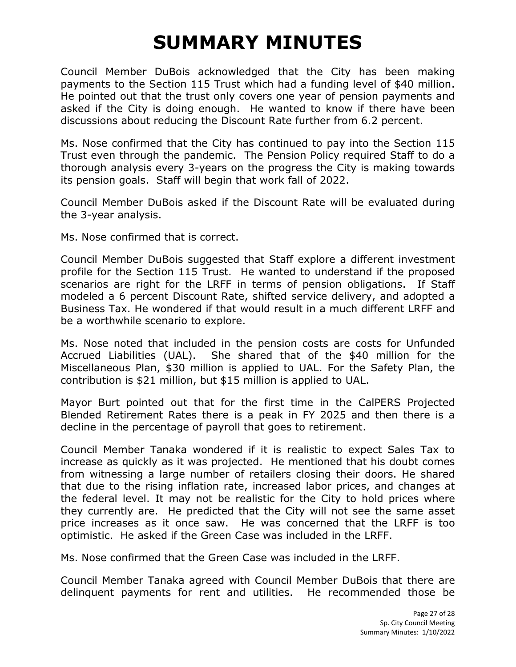Council Member DuBois acknowledged that the City has been making payments to the Section 115 Trust which had a funding level of \$40 million. He pointed out that the trust only covers one year of pension payments and asked if the City is doing enough. He wanted to know if there have been discussions about reducing the Discount Rate further from 6.2 percent.

Ms. Nose confirmed that the City has continued to pay into the Section 115 Trust even through the pandemic. The Pension Policy required Staff to do a thorough analysis every 3-years on the progress the City is making towards its pension goals. Staff will begin that work fall of 2022.

Council Member DuBois asked if the Discount Rate will be evaluated during the 3-year analysis.

Ms. Nose confirmed that is correct.

Council Member DuBois suggested that Staff explore a different investment profile for the Section 115 Trust. He wanted to understand if the proposed scenarios are right for the LRFF in terms of pension obligations. If Staff modeled a 6 percent Discount Rate, shifted service delivery, and adopted a Business Tax. He wondered if that would result in a much different LRFF and be a worthwhile scenario to explore.

Ms. Nose noted that included in the pension costs are costs for Unfunded Accrued Liabilities (UAL). She shared that of the \$40 million for the Miscellaneous Plan, \$30 million is applied to UAL. For the Safety Plan, the contribution is \$21 million, but \$15 million is applied to UAL.

Mayor Burt pointed out that for the first time in the CalPERS Projected Blended Retirement Rates there is a peak in FY 2025 and then there is a decline in the percentage of payroll that goes to retirement.

Council Member Tanaka wondered if it is realistic to expect Sales Tax to increase as quickly as it was projected. He mentioned that his doubt comes from witnessing a large number of retailers closing their doors. He shared that due to the rising inflation rate, increased labor prices, and changes at the federal level. It may not be realistic for the City to hold prices where they currently are. He predicted that the City will not see the same asset price increases as it once saw. He was concerned that the LRFF is too optimistic. He asked if the Green Case was included in the LRFF.

Ms. Nose confirmed that the Green Case was included in the LRFF.

Council Member Tanaka agreed with Council Member DuBois that there are delinquent payments for rent and utilities. He recommended those be